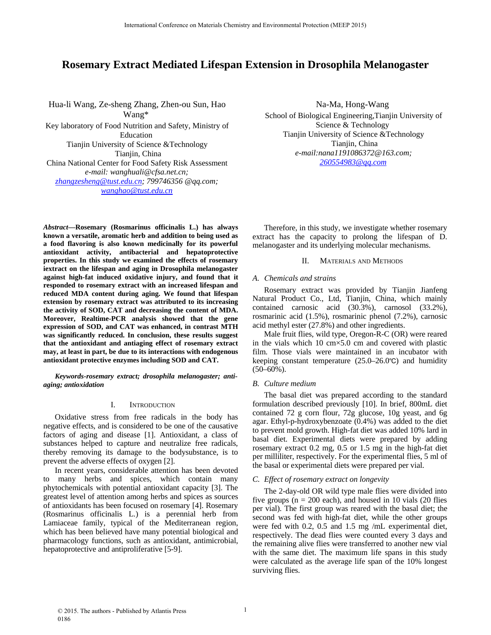# **Rosemary Extract Mediated Lifespan Extension in Drosophila Melanogaster**

Hua-li Wang, Ze-sheng Zhang, Zhen-ou Sun, Hao Wang\* Key laboratory of Food Nutrition and Safety, Ministry of Education Tianjin University of Science &Technology Tianjin, China China National Center for Food Safety Risk Assessment *e-mail: wanghuali@cfsa.net.cn; zhangzesheng @ tust.edu.cn; 799746356 @qq.com; wanghao @ tust.edu.cn*

Na-Ma, Hong-Wang School of Biological Engineering,Tianjin University of Science & Technology Tianjin University of Science &Technology Tianjin, China *e-mail:nana1191086372@163.com; 260554983@qq.com*

*Abstract***—Rosemary (Rosmarinus officinalis L.) has always known a versatile, aromatic herb and addition to being used as a food flavoring is also known medicinally for its powerful antioxidant activity, antibacterial and hepatoprotective properties. In this study we examined the effects of rosemary iextract on the lifespan and aging in Drosophila melanogaster against high-fat induced oxidative injury, and found that it responded to rosemary extract with an increased lifespan and reduced MDA content during aging. We found that lifespan extension by rosemary extract was attributed to its increasing the activity of SOD, CAT and decreasing the content of MDA. Moreover, Realtime-PCR analysis showed that the gene expression of SOD, and CAT was enhanced, in contrast MTH was significantly reduced. In conclusion, these results suggest that the antioxidant and antiaging effect of rosemary extract may, at least in part, be due to its interactions with endogenous antioxidant protective enzymes including SOD and CAT.**

*Keywords-rosemary extract; drosophila melanogaster; antiaging; antioxidation*

## I. INTRODUCTION

Oxidative stress from free radicals in the body has negative effects, and is considered to be one of the causative factors of aging and disease [1]. Antioxidant, a class of substances helped to capture and neutralize free radicals, thereby removing its damage to the bodysubstance, is to prevent the adverse effects of oxygen [2].

In recent years, considerable attention has been devoted to many herbs and spices, which contain many phytochemicals with potential antioxidant capacity [3]. The greatest level of attention among herbs and spices as sources of antioxidants has been focused on rosemary [4]. Rosemary (Rosmarinus officinalis L.) is a perennial herb from Lamiaceae family, typical of the Mediterranean region, which has been believed have many potential biological and pharmacology functions, such as antioxidant, antimicrobial, hepatoprotective and antiproliferative [5-9].

Therefore, in this study, we investigate whether rosemary extract has the capacity to prolong the lifespan of D. melanogaster and its underlying molecular mechanisms.

## II. MATERIALS AND METHODS

## *A. Chemicals and strains*

Rosemary extract was provided by Tianjin Jianfeng Natural Product Co., Ltd, Tianjin, China, which mainly contained carnosic acid (30.3%), carnosol (33.2%), rosmarinic acid (1.5%), rosmarinic phenol (7.2%), carnosic acid methyl ester (27.8%) and other ingredients.

Male fruit flies, wild type, Oregon-R-C (OR) were reared in the vials which  $10 \text{ cm} \times 5.0 \text{ cm}$  and covered with plastic film. Those vials were maintained in an incubator with keeping constant temperature  $(25.0-26.0 \degree C)$  and humidity  $(50-60\%)$ .

## *B. Culture medium*

The basal diet was prepared according to the standard formulation described previously [10]. In brief, 800mL diet contained 72 g corn flour, 72g glucose, 10g yeast, and 6g agar. Ethyl-p-hydroxybenzoate (0.4%) was added to the diet to prevent mold growth. High-fat diet was added 10% lard in basal diet. Experimental diets were prepared by adding rosemary extract 0.2 mg, 0.5 or 1.5 mg in the high-fat diet per milliliter, respectively. For the experimental flies, 5 ml of the basal or experimental diets were prepared per vial.

## *C. Effect of rosemary extract on longevity*

The 2-day-old OR wild type male flies were divided into five groups ( $n = 200$  each), and housed in 10 vials (20 flies per vial). The first group was reared with the basal diet; the second was fed with high-fat diet, while the other groups were fed with 0.2, 0.5 and 1.5 mg /mL experimental diet, respectively. The dead flies were counted every 3 days and the remaining alive flies were transferred to another new vial with the same diet. The maximum life spans in this study were calculated as the average life span of the 10% longest surviving flies.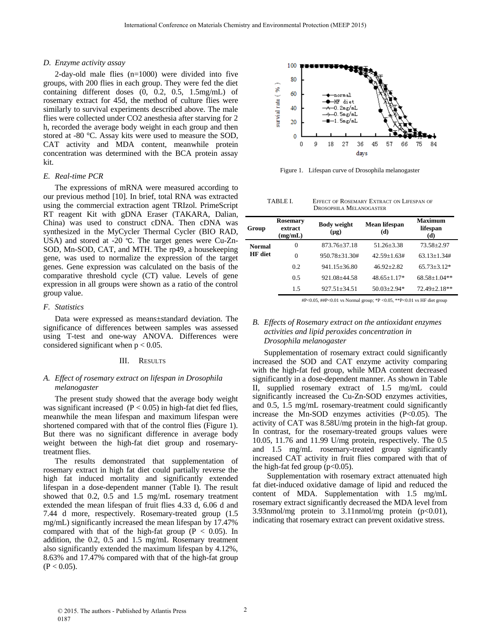## *D. Enzyme activity assay*

2-day-old male flies (n=1000) were divided into five groups, with 200 flies in each group. They were fed the diet containing different doses (0, 0.2, 0.5, 1.5mg/mL) of rosemary extract for 45d, the method of culture flies were similarly to survival experiments described above. The male flies were collected under CO2 anesthesia after starving for 2 h, recorded the average body weight in each group and then stored at -80 °C. Assay kits were used to measure the SOD, CAT activity and MDA content, meanwhile protein concentration was determined with the BCA protein assay kit.

## *E. Real-time PCR*

The expressions of mRNA were measured according to our previous method [10]. In brief, total RNA was extracted using the commercial extraction agent TRIzol. PrimeScript RT reagent Kit with gDNA Eraser (TAKARA, Dalian, China) was used to construct cDNA. Then cDNA was synthesized in the MyCycler Thermal Cycler (BIO RAD, USA) and stored at -20  $°C$ . The target genes were Cu-Zn-SOD, Mn-SOD, CAT, and MTH. The rp49, a housekeeping gene, was used to normalize the expression of the target genes. Gene expression was calculated on the basis of the comparative threshold cycle (CT) value. Levels of gene expression in all groups were shown as a ratio of the control group value.

## *F. Statistics*

Data were expressed as means±standard deviation. The significance of differences between samples was assessed using T-test and one-way ANOVA. Differences were considered significant when  $p < 0.05$ .

## III. RESULTS

# *A. Effect of rosemary extract on lifespan in Drosophila melanogaster*

The present study showed that the average body weight was significant increased  $(P < 0.05)$  in high-fat diet fed flies, meanwhile the mean lifespan and maximum lifespan were shortened compared with that of the control flies (Figure 1). But there was no significant difference in average body weight between the high-fat diet group and rosemarytreatment flies.

The results demonstrated that supplementation of rosemary extract in high fat diet could partially reverse the high fat induced mortality and significantly extended lifespan in a dose-dependent manner (Table I). The result showed that 0.2, 0.5 and 1.5 mg/mL rosemary treatment extended the mean lifespan of fruit flies 4.33 d, 6.06 d and 7.44 d more, respectively. Rosemary-treated group (1.5 mg/mL) significantly increased the mean lifespan by 17.47% compared with that of the high-fat group ( $P < 0.05$ ). In addition, the 0.2, 0.5 and 1.5 mg/mL Rosemary treatment also significantly extended the maximum lifespan by 4.12%, 8.63% and 17.47% compared with that of the high-fat group  $(P < 0.05)$ .



Figure 1. Lifespan curve of Drosophila melanogaster

| TABLE I. | EFFECT OF ROSEMARY EXTRACT ON LIFESPAN OF |
|----------|-------------------------------------------|
|          | DROSOPHILA MELANOGASTER                   |

| Group          | <b>Rosemary</b><br>extract<br>(mg/mL) | <b>Body weight</b><br>$(\mu g)$ | Mean lifespan<br>(d) | <b>Maximum</b><br>lifespan<br>(d) |
|----------------|---------------------------------------|---------------------------------|----------------------|-----------------------------------|
| <b>Normal</b>  | 0                                     | $873.76 + 37.18$                | $51.26 + 3.38$       | $73.58 \pm 2.97$                  |
| <b>HF</b> diet | 0                                     | $950.78 + 31.30#$               | $42.59 + 1.63 \#$    | $63.13 + 1.34 \#$                 |
|                | 0.2                                   | $941.15 + 36.80$                | $46.92 + 2.82$       | $65.73 + 3.12*$                   |
|                | 0.5                                   | 921.08+44.58                    | $48.65 + 1.17*$      | $68.58 + 1.04$ **                 |
|                | 1.5                                   | $927.51 \pm 34.51$              | $50.03 + 2.94*$      | 72.49±2.18**                      |

#P<0.05, ##P<0.01 vs Normal group; \*P <0.05, \*\*P<0.01 vs HF diet group

# *B. Effects of Rosemary extract on the antioxidant enzymes activities and lipid peroxides concentration in Drosophila melanogaster*

Supplementation of rosemary extract could significantly increased the SOD and CAT enzyme activity comparing with the high-fat fed group, while MDA content decreased significantly in a dose-dependent manner. As shown in Table II, supplied rosemary extract of 1.5 mg/mL could significantly increased the Cu-Zn-SOD enzymes activities, and 0.5, 1.5 mg/mL rosemary-treatment could significantly increase the Mn-SOD enzymes activities (P<0.05). The activity of CAT was 8.58U/mg protein in the high-fat group. In contrast, for the rosemary-treated groups values were 10.05, 11.76 and 11.99 U/mg protein, respectively. The 0.5 and 1.5 mg/mL rosemary-treated group significantly increased CAT activity in fruit flies compared with that of the high-fat fed group  $(p<0.05)$ .

 Supplementation with rosemary extract attenuated high fat diet-induced oxidative damage of lipid and reduced the content of MDA. Supplementation with 1.5 mg/mL rosemary extract significantly decreased the MDA level from 3.93nmol/mg protein to 3.11nmol/mg protein  $(p<0.01)$ , indicating that rosemary extract can prevent oxidative stress.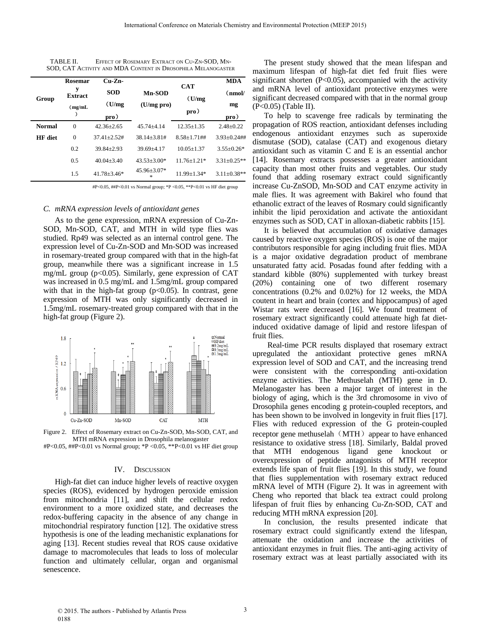| TABLE II. | EFFECT OF ROSEMARY EXTRACT ON CU-ZN-SOD. MN-                 |
|-----------|--------------------------------------------------------------|
|           | SOD, CAT ACTIVITY AND MDA CONTENT IN DROSOPHILA MELANOGASTER |

| Group          | <b>Rosemar</b>      | $Cu-Zn-$         | Mn-SOD<br>(U/mg pro)        |                  | <b>CAT</b>        | <b>MDA</b> |
|----------------|---------------------|------------------|-----------------------------|------------------|-------------------|------------|
|                | у<br><b>Extract</b> | <b>SOD</b>       |                             | (U/mg)<br>pro)   | (nmol/            |            |
|                | (mg/mL)             | (U/mg)           |                             |                  | mg                |            |
|                |                     | $_{\rm pro}$ )   |                             |                  | pro)              |            |
| <b>Normal</b>  | $\Omega$            | $42.36 + 2.65$   | $45.74 + 4.14$              | $12.35 + 1.35$   | $2.48 \pm 0.22$   |            |
| <b>HF</b> diet | $\theta$            | $37.41 + 2.52$ # | $38.14 + 3.81 \#$           | $8.58 + 1.71$ ## | $3.93 + 0.24$ ##  |            |
|                | 0.2                 | $39.84 + 2.93$   | $39.69 + 4.17$              | $10.05 + 1.37$   | $3.55+0.26*$      |            |
|                | 0.5                 | $40.04 + 3.40$   | $43.53 + 3.00*$             | $11.76 + 1.21*$  | $3.31 \pm 0.25**$ |            |
|                | 1.5                 | $41.78 + 3.46*$  | $45.96 \pm 3.07*$<br>$\ast$ | $11.99 + 1.34*$  | $3.11 + 0.38**$   |            |

#P<0.05, ##P<0.01 vs Normal group; \*P <0.05, \*\*P<0.01 vs HF diet group

#### *C. mRNA expression levels of antioxidant genes*

As to the gene expression, mRNA expression of Cu-Zn-SOD, Mn-SOD, CAT, and MTH in wild type flies was studied. Rp49 was selected as an internal control gene. The expression level of Cu-Zn-SOD and Mn-SOD was increased in rosemary-treated group compared with that in the high-fat group, meanwhile there was a significant increase in 1.5 mg/mL group (p<0.05). Similarly, gene expression of CAT was increased in 0.5 mg/mL and 1.5mg/mL group compared with that in the high-fat group  $(p<0.05)$ . In contrast, gene expression of MTH was only significantly decreased in 1.5mg/mL rosemary-treated group compared with that in the high-fat group (Figure 2).



Figure 2. Effect of Rosemary extract on Cu-Zn-SOD, Mn-SOD, CAT, and MTH mRNA expression in Drosophila melanogaster

#P<0.05, ##P<0.01 vs Normal group; \*P <0.05, \*\*P<0.01 vs HF diet group

#### IV. DISCUSSION

High-fat diet can induce higher levels of reactive oxygen species (ROS), evidenced by hydrogen peroxide emission from mitochondria [11], and shift the cellular redox environment to a more oxidized state, and decreases the redox-buffering capacity in the absence of any change in mitochondrial respiratory function [12]. The oxidative stress hypothesis is one of the leading mechanistic explanations for aging [13]. Recent studies reveal that ROS cause oxidative damage to macromolecules that leads to loss of molecular function and ultimately cellular, organ and organismal senescence.

The present study showed that the mean lifespan and maximum lifespan of high-fat diet fed fruit flies were significant shorten  $(P<0.05)$ , accompanied with the activity and mRNA level of antioxidant protective enzymes were significant decreased compared with that in the normal group (P<0.05) (Table II).

To help to scavenge free radicals by terminating the propagation of ROS reaction, antioxidant defenses including endogenous antioxidant enzymes such as superoxide dismutase (SOD), catalase (CAT) and exogenous dietary antioxidant such as vitamin C and E is an essential anchor [14]. Rosemary extracts possesses a greater antioxidant capacity than most other fruits and vegetables. Our study found that adding rosemary extract could significantly increase Cu-ZnSOD, Mn-SOD and CAT enzyme activity in male flies. It was agreement with Bakirel who found that ethanolic extract of the leaves of Rosmary could significantly inhibit the lipid peroxidation and activate the antioxidant enzymes such as SOD, CAT in alloxan-diabetic rabbits [15].

It is believed that accumulation of oxidative damages caused by reactive oxygen species (ROS) is one of the major contributors responsible for aging including fruit flies. MDA is a major oxidative degradation product of membrane unsaturated fatty acid. Posadas found after fedding with a standard kibble (80%) supplemented with turkey breast (20%) containing one of two different rosemary concentrations (0.2% and 0.02%) for 12 weeks, the MDA coutent in heart and brain (cortex and hippocampus) of aged Wistar rats were decreased [16]. We found treatment of rosemary extract significantly could attenuate high fat dietinduced oxidative damage of lipid and restore lifespan of fruit flies.

 Real-time PCR results displayed that rosemary extract upregulated the antioxidant protective genes mRNA expression level of SOD and CAT, and the increasing trend were consistent with the corresponding anti-oxidation enzyme activities. The Methuselah (MTH) gene in D. Melanogaster has been a major target of interest in the biology of aging, which is the 3rd chromosome in vivo of Drosophila genes encoding g protein-coupled receptors, and has been shown to be involved in longevity in fruit flies [17]. Flies with reduced expression of the G protein-coupled receptor gene methuselah (MTH) appear to have enhanced resistance to oxidative stress [18]. Similarly, Baldal proved that MTH endogenous ligand gene knockout or overexpression of peptide antagonists of MTH receptor extends life span of fruit flies [19]. In this study, we found that flies supplementation with rosemary extract reduced mRNA level of MTH (Figure 2). It was in agreement with Cheng who reported that black tea extract could prolong lifespan of fruit flies by enhancing Cu-Zn-SOD, CAT and reducing MTH mRNA expression [20].

In conclusion, the results presented indicate that rosemary extract could significantly extend the lifespan, attenuate the oxidation and increase the activities of antioxidant enzymes in fruit flies. The anti-aging activity of rosemary extract was at least partially associated with its